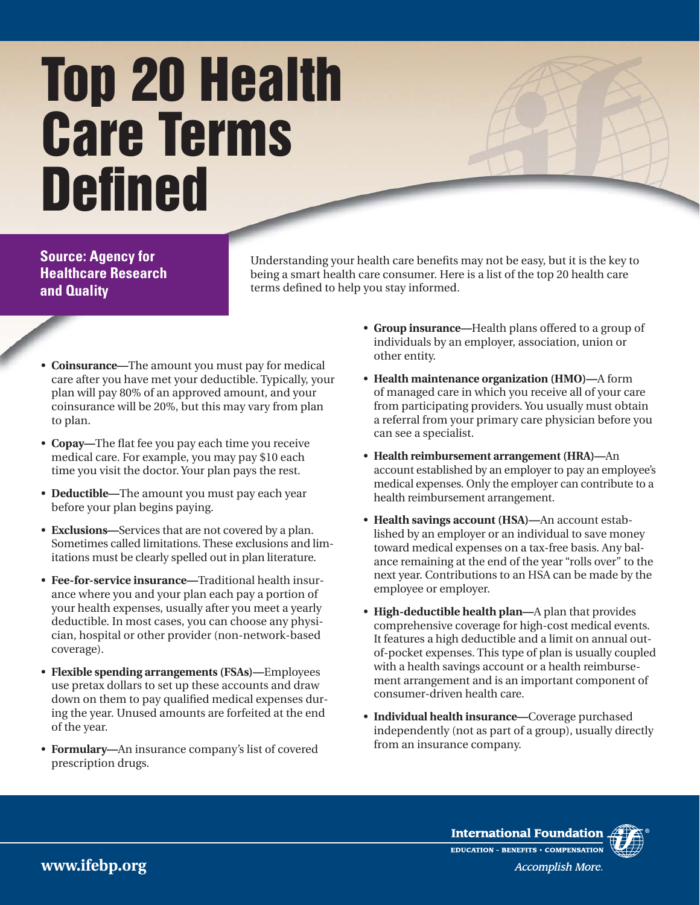## **Top 20 Health Care Terms Defined**

**Source: Agency for Healthcare Research and Quality**

Understanding your health care benefits may not be easy, but it is the key to being a smart health care consumer. Here is a list of the top 20 health care terms defined to help you stay informed.

- **Coinsurance—**The amount you must pay for medical care after you have met your deductible. Typically, your plan will pay 80% of an approved amount, and your coinsurance will be 20%, but this may vary from plan to plan.
- **Copay—**The flat fee you pay each time you receive medical care. For example, you may pay \$10 each time you visit the doctor. Your plan pays the rest.
- **Deductible—**The amount you must pay each year before your plan begins paying.
- **Exclusions—**Services that are not covered by a plan. Sometimes called limitations. These exclusions and limitations must be clearly spelled out in plan literature.
- **Fee-for-service insurance—**Traditional health insurance where you and your plan each pay a portion of your health expenses, usually after you meet a yearly deductible. In most cases, you can choose any physician, hospital or other provider (non-network-based coverage).
- **Flexible spending arrangements (FSAs)—**Employees use pretax dollars to set up these accounts and draw down on them to pay qualified medical expenses during the year. Unused amounts are forfeited at the end of the year.
- **Formulary—**An insurance company's list of covered prescription drugs.
- **Group insurance—**Health plans offered to a group of individuals by an employer, association, union or other entity.
- **Health maintenance organization (HMO)—**A form of managed care in which you receive all of your care from participating providers. You usually must obtain a referral from your primary care physician before you can see a specialist.
- **Health reimbursement arrangement (HRA)—**An account established by an employer to pay an employee's medical expenses. Only the employer can contribute to a health reimbursement arrangement.
- **Health savings account (HSA)—**An account established by an employer or an individual to save money toward medical expenses on a tax-free basis. Any balance remaining at the end of the year "rolls over" to the next year. Contributions to an HSA can be made by the employee or employer.
- **High-deductible health plan—**A plan that provides comprehensive coverage for high-cost medical events. It features a high deductible and a limit on annual outof-pocket expenses. This type of plan is usually coupled with a health savings account or a health reimbursement arrangement and is an important component of consumer-driven health care.
- **Individual health insurance—**Coverage purchased independently (not as part of a group), usually directly from an insurance company.



**International Foundation** EDUCATION - BENEFITS . COMPENSATION Accomplish More.